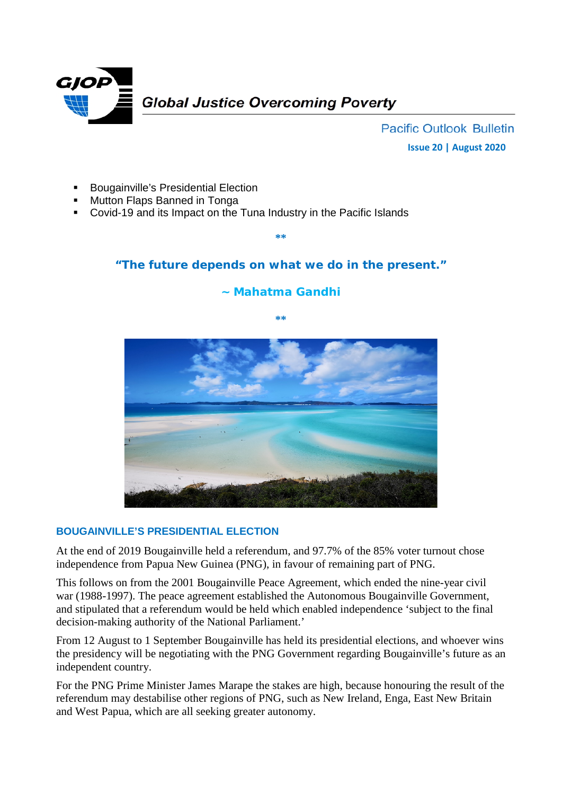

**Pacific Outlook Bulletin Issue 20 | August 2020**

- Bougainville's Presidential Election
- Mutton Flaps Banned in Tonga
- Covid-19 and its Impact on the Tuna Industry in the Pacific Islands

# **"The future depends on what we do in the present."**

**\*\***

## **~ Mahatma Gandhi**



### **BOUGAINVILLE'S PRESIDENTIAL ELECTION**

At the end of 2019 Bougainville held a referendum, and 97.7% of the 85% voter turnout chose independence from Papua New Guinea (PNG), in favour of remaining part of PNG.

This follows on from the 2001 Bougainville Peace Agreement, which ended the nine-year civil war (1988-1997). The peace agreement established the Autonomous Bougainville Government, and stipulated that a referendum would be held which enabled independence 'subject to the final decision-making authority of the National Parliament.'

From 12 August to 1 September Bougainville has held its presidential elections, and whoever wins the presidency will be negotiating with the PNG Government regarding Bougainville's future as an independent country.

For the PNG Prime Minister James Marape the stakes are high, because honouring the result of the referendum may destabilise other regions of PNG, such as New Ireland, Enga, East New Britain and West Papua, which are all seeking greater autonomy.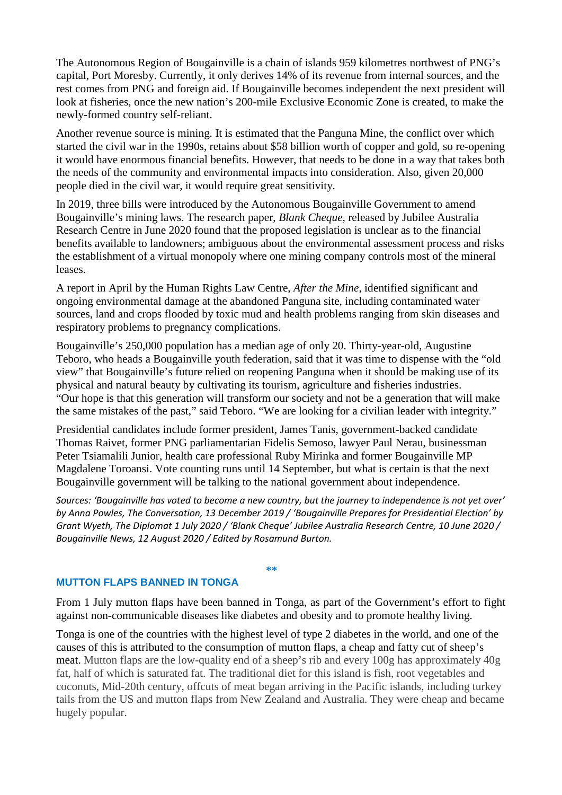The Autonomous Region of Bougainville is a chain of islands 959 kilometres northwest of PNG's capital, Port Moresby. Currently, it only derives 14% of its revenue from internal sources, and the rest comes from PNG and foreign aid. If Bougainville becomes independent the next president will look at fisheries, once the new nation's 200-mile Exclusive Economic Zone is created, to make the newly-formed country self-reliant.

Another revenue source is mining. It is estimated that the Panguna Mine, the conflict over which started the civil war in the 1990s, retains about \$58 billion worth of copper and gold, so re-opening it would have enormous financial benefits. However, that needs to be done in a way that takes both the needs of the community and environmental impacts into consideration. Also, given 20,000 people died in the civil war, it would require great sensitivity.

In 2019, three bills were introduced by the Autonomous Bougainville Government to amend Bougainville's mining laws. The research paper, *Blank Cheque*, released by Jubilee Australia Research Centre in June 2020 found that the proposed legislation is unclear as to the financial benefits available to landowners; ambiguous about the environmental assessment process and risks the establishment of a virtual monopoly where one mining company controls most of the mineral leases.

A report in April by the Human Rights Law Centre, *After the Mine*, identified significant and ongoing environmental damage at the abandoned Panguna site, including contaminated water sources, land and crops flooded by toxic mud and health problems ranging from skin diseases and respiratory problems to pregnancy complications.

Bougainville's 250,000 population has a median age of only 20. Thirty-year-old, Augustine Teboro, who heads a Bougainville youth federation, said that it was time to dispense with the "old view" that Bougainville's future relied on reopening Panguna when it should be making use of its physical and natural beauty by cultivating its tourism, agriculture and fisheries industries. "Our hope is that this generation will transform our society and not be a generation that will make the same mistakes of the past," said Teboro. "We are looking for a civilian leader with integrity."

Presidential candidates include former president, James Tanis, government-backed candidate Thomas Raivet, former PNG parliamentarian Fidelis Semoso, lawyer Paul Nerau, businessman Peter Tsiamalili Junior, health care professional Ruby Mirinka and former Bougainville MP Magdalene Toroansi. Vote counting runs until 14 September, but what is certain is that the next Bougainville government will be talking to the national government about independence.

*Sources: 'Bougainville has voted to become a new country, but the journey to independence is not yet over' by Anna Powles, The Conversation, 13 December 2019 / 'Bougainville Prepares for Presidential Election' by Grant Wyeth, The Diplomat 1 July 2020 / 'Blank Cheque' Jubilee Australia Research Centre, 10 June 2020 / Bougainville News, 12 August 2020 / Edited by Rosamund Burton.*

### **MUTTON FLAPS BANNED IN TONGA**

**\*\***

From 1 July mutton flaps have been banned in Tonga, as part of the Government's effort to fight against non-communicable diseases like diabetes and obesity and to promote healthy living.

Tonga is one of the countries with the highest level of type 2 diabetes in the world, and one of the causes of this is attributed to the consumption of mutton flaps, a cheap and fatty cut of sheep's meat. Mutton flaps are the low-quality end of a sheep's rib and every 100g has approximately 40g fat, half of which is saturated fat. The traditional diet for this island is fish, root vegetables and coconuts, Mid-20th century, offcuts of meat began arriving in the Pacific islands, including turkey tails from the US and mutton flaps from New Zealand and Australia. They were cheap and became hugely popular.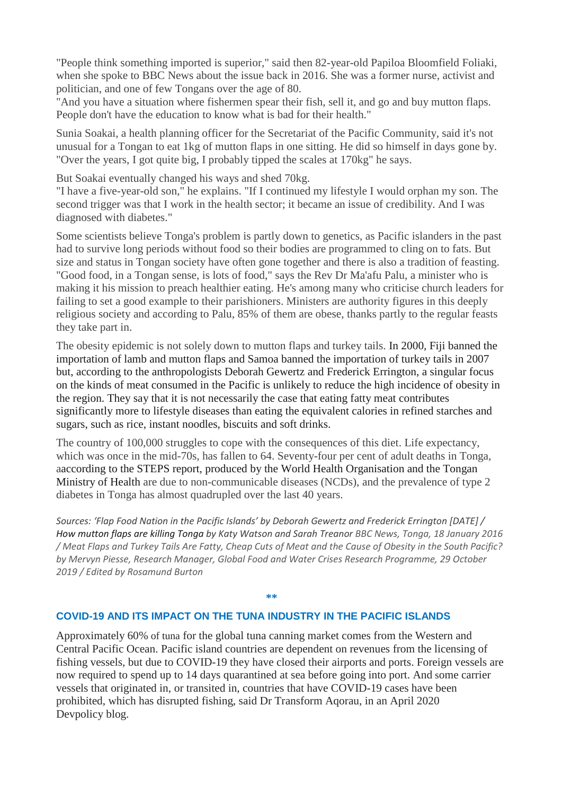"People think something imported is superior," said then 82-year-old Papiloa Bloomfield Foliaki, when she spoke to BBC News about the issue back in 2016. She was a former nurse, activist and politician, and one of few Tongans over the age of 80.

"And you have a situation where fishermen spear their fish, sell it, and go and buy mutton flaps. People don't have the education to know what is bad for their health."

Sunia Soakai, a health planning officer for the Secretariat of the Pacific Community, said it's not unusual for a Tongan to eat 1kg of mutton flaps in one sitting. He did so himself in days gone by. "Over the years, I got quite big, I probably tipped the scales at 170kg" he says.

But Soakai eventually changed his ways and shed 70kg.

"I have a five-year-old son," he explains. "If I continued my lifestyle I would orphan my son. The second trigger was that I work in the health sector; it became an issue of credibility. And I was diagnosed with diabetes."

Some scientists believe Tonga's problem is partly down to genetics, as Pacific islanders in the past had to survive long periods without food so their bodies are programmed to cling on to fats. But size and status in Tongan society have often gone together and there is also a tradition of feasting. "Good food, in a Tongan sense, is lots of food," says the Rev Dr Ma'afu Palu, a minister who is making it his mission to preach healthier eating. He's among many who criticise church leaders for failing to set a good example to their parishioners. Ministers are authority figures in this deeply religious society and according to Palu, 85% of them are obese, thanks partly to the regular feasts they take part in.

The obesity epidemic is not solely down to mutton flaps and turkey tails. In 2000, Fiji banned the importation of lamb and mutton flaps and Samoa banned the importation of turkey tails in 2007 but, according to the anthropologists Deborah Gewertz and Frederick Errington, a singular focus on the kinds of meat consumed in the Pacific is unlikely to reduce the high incidence of obesity in the region. They say that it is not necessarily the case that eating fatty meat contributes significantly more to lifestyle diseases than eating the equivalent calories in refined starches and sugars, such as rice, instant noodles, biscuits and soft drinks.

The country of 100,000 struggles to cope with the consequences of this diet. Life expectancy, which was once in the mid-70s, has fallen to 64. Seventy-four per cent of adult deaths in Tonga, aaccording to the STEPS report, produced by the World Health Organisation and the Tongan Ministry of Health are due to non-communicable diseases (NCDs), and the prevalence of type 2 diabetes in Tonga has almost quadrupled over the last 40 years.

*Sources: 'Flap Food Nation in the Pacific Islands' by Deborah Gewertz and Frederick Errington [DATE] / How mutton flaps are killing Tonga by Katy Watson and Sarah Treanor BBC News, Tonga, 18 January 2016 / Meat Flaps and Turkey Tails Are Fatty, Cheap Cuts of Meat and the Cause of Obesity in the South Pacific? by Mervyn Piesse, Research Manager, Global Food and Water Crises Research Programme, 29 October 2019 / Edited by Rosamund Burton*

**\*\***

#### **COVID-19 AND ITS IMPACT ON THE TUNA INDUSTRY IN THE PACIFIC ISLANDS**

Approximately 60% of tuna for the global tuna canning market comes from the Western and Central Pacific Ocean. Pacific island countries are dependent on revenues from the licensing of fishing vessels, but due to COVID-19 they have closed their airports and ports. Foreign vessels are now required to spend up to 14 days quarantined at sea before going into port. And some carrier vessels that originated in, or transited in, countries that have COVID-19 cases have been prohibited, which has disrupted fishing, said Dr Transform Aqorau, in an April 2020 Devpolicy blog.